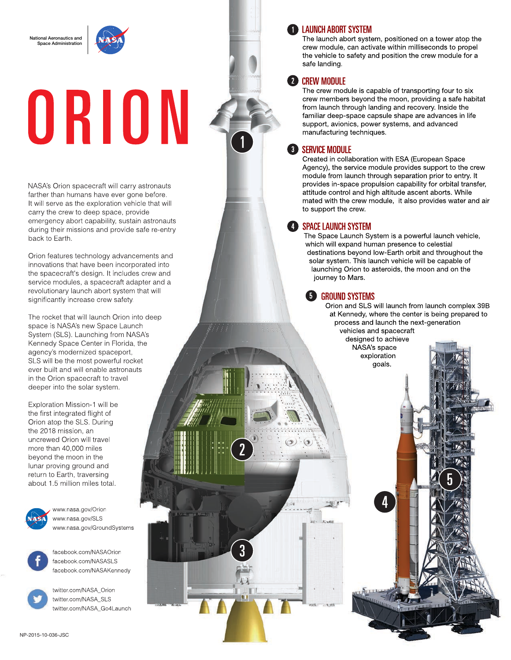National Aeronautics and .<br>See Administration

# ORION

NASA's Orion spacecraft will carry astronauts farther than humans have ever gone before. It will serve as the exploration vehicle that will carry the crew to deep space, provide emergency abort capability, sustain astronauts during their missions and provide safe re-entry back to Earth.

Orion features technology advancements and innovations that have been incorporated into the spacecraft's design. It includes crew and service modules, a spacecraft adapter and a revolutionary launch abort system that will significantly increase crew safety.

The rocket that will launch Orion into deep space is NASA's new Space Launch System (SLS). Launching from NASA's Kennedy Space Center in Florida, the agency's modernized spaceport, SLS will be the most powerful rocket ever built and will enable astronauts in the Orion spacecraft to travel deeper into the solar system.

Exploration Mission-1 will be the first integrated flight of Orion atop the SLS. During the 2018 mission, an uncrewed Orion will travel more than 40,000 miles beyond the moon in the lunar proving ground and return to Earth, traversing about 1.5 million miles total.



www.nasa.gov/Orion www.nasa.gov/SLS www.nasa.gov/GroundSystems



facebook.com/NASAOrion facebook.com/NASASLS facebook.com/NASAKennedy

twitter.com/NASA\_Orion twitter.com/NASA\_SLS twitter.com/NASA\_Go4Launch

# **T** LAUNCH ABORT SYSTEM

The launch abort system, positioned on a tower atop the crew module, can activate within milliseconds to propel the vehicle to safety and position the crew module for a safe landing.

# **2** CREW MODULE

The crew module is capable of transporting four to six crew members beyond the moon, providing a safe habitat from launch through landing and recovery. Inside the familiar deep-space capsule shape are advances in life support, avionics, power systems, and advanced manufacturing techniques.

# **B** SERVICE MODULE

Created in collaboration with ESA (European Space Agency), the service module provides support to the crew module from launch through separation prior to entry. It provides in-space propulsion capability for orbital transfer, attitude control and high altitude ascent aborts. While mated with the crew module, it also provides water and air to support the crew.

### **ED SPACE LAUNCH SYSTEM**

The Space Launch System is a powerful launch vehicle, which will expand human presence to celestial destinations beyond low-Earth orbit and throughout the solar system. This launch vehicle will be capable of launching Orion to asteroids, the moon and on the journey to Mars.

### **GROUND SYSTEMS**

Orion and SLS will launch from launch complex 39B at Kennedy, where the center is being prepared to process and launch the next-generation vehicles and spacecraft

designed to achieve NASA's space exploration goals.